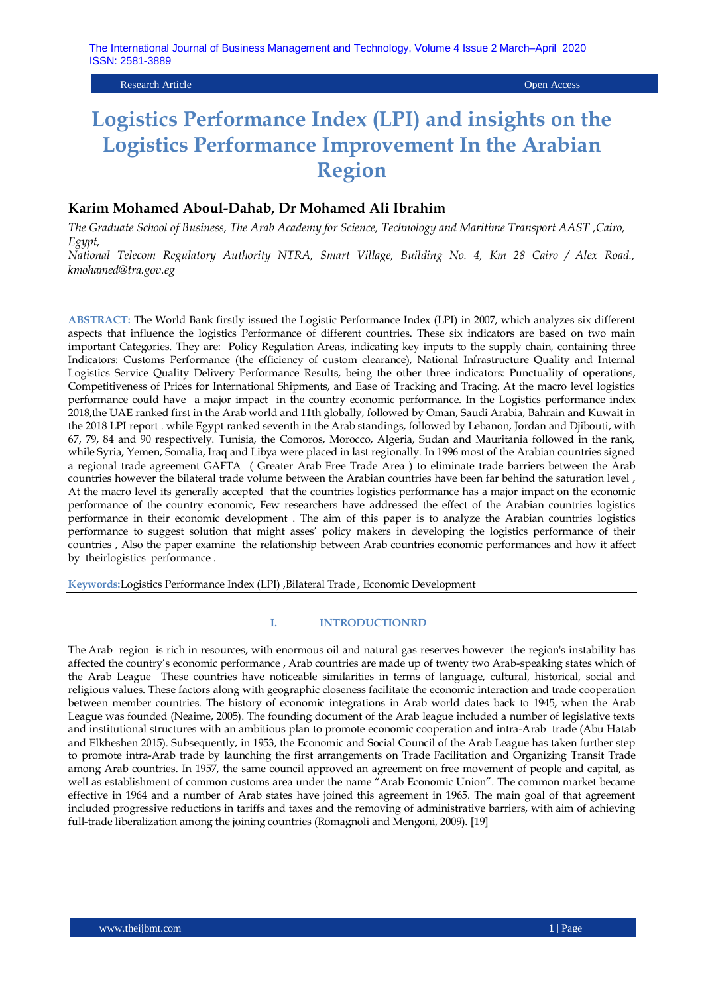Research Article Open Access

# **Logistics Performance Index (LPI) and insights on the Logistics Performance Improvement In the Arabian Region**

# **Karim Mohamed Aboul-Dahab, Dr Mohamed Ali Ibrahim**

*The Graduate School of Business, The Arab Academy for Science, Technology and Maritime Transport AAST ,Cairo, Egypt,* 

*National Telecom Regulatory Authority NTRA, Smart Village, Building No. 4, Km 28 Cairo / Alex Road., kmohamed@tra.gov.eg*

**ABSTRACT:** The World Bank firstly issued the Logistic Performance Index (LPI) in 2007, which analyzes six different aspects that influence the logistics Performance of different countries. These six indicators are based on two main important Categories. They are: Policy Regulation Areas, indicating key inputs to the supply chain, containing three Indicators: Customs Performance (the efficiency of custom clearance), National Infrastructure Quality and Internal Logistics Service Quality Delivery Performance Results, being the other three indicators: Punctuality of operations, Competitiveness of Prices for International Shipments, and Ease of Tracking and Tracing. At the macro level logistics performance could have a major impact in the country economic performance. In the Logistics performance index 2018,the UAE ranked first in the Arab world and 11th globally, followed by Oman, Saudi Arabia, Bahrain and Kuwait in the 2018 LPI report . while Egypt ranked seventh in the Arab standings, followed by Lebanon, Jordan and Djibouti, with 67, 79, 84 and 90 respectively. Tunisia, the Comoros, Morocco, Algeria, Sudan and Mauritania followed in the rank, while Syria, Yemen, Somalia, Iraq and Libya were placed in last regionally. In 1996 most of the Arabian countries signed a regional trade agreement GAFTA ( Greater Arab Free Trade Area ) to eliminate trade barriers between the Arab countries however the bilateral trade volume between the Arabian countries have been far behind the saturation level , At the macro level its generally accepted that the countries logistics performance has a major impact on the economic performance of the country economic, Few researchers have addressed the effect of the Arabian countries logistics performance in their economic development . The aim of this paper is to analyze the Arabian countries logistics performance to suggest solution that might asses" policy makers in developing the logistics performance of their countries , Also the paper examine the relationship between Arab countries economic performances and how it affect by theirlogistics performance .

**Keywords:**Logistics Performance Index (LPI) ,Bilateral Trade , Economic Development

#### **I. INTRODUCTIONRD**

The Arab region is rich in resources, with enormous oil and natural gas reserves however the region's instability has affected the country"s economic performance , Arab countries are made up of twenty two Arab-speaking states which of the Arab League These countries have noticeable similarities in terms of language, cultural, historical, social and religious values. These factors along with geographic closeness facilitate the economic interaction and trade cooperation between member countries. The history of economic integrations in Arab world dates back to 1945, when the Arab League was founded (Neaime, 2005). The founding document of the Arab league included a number of legislative texts and institutional structures with an ambitious plan to promote economic cooperation and intra-Arab trade (Abu Hatab and Elkheshen 2015). Subsequently, in 1953, the Economic and Social Council of the Arab League has taken further step to promote intra-Arab trade by launching the first arrangements on Trade Facilitation and Organizing Transit Trade among Arab countries. In 1957, the same council approved an agreement on free movement of people and capital, as well as establishment of common customs area under the name "Arab Economic Union". The common market became effective in 1964 and a number of Arab states have joined this agreement in 1965. The main goal of that agreement included progressive reductions in tariffs and taxes and the removing of administrative barriers, with aim of achieving full-trade liberalization among the joining countries (Romagnoli and Mengoni, 2009). [19]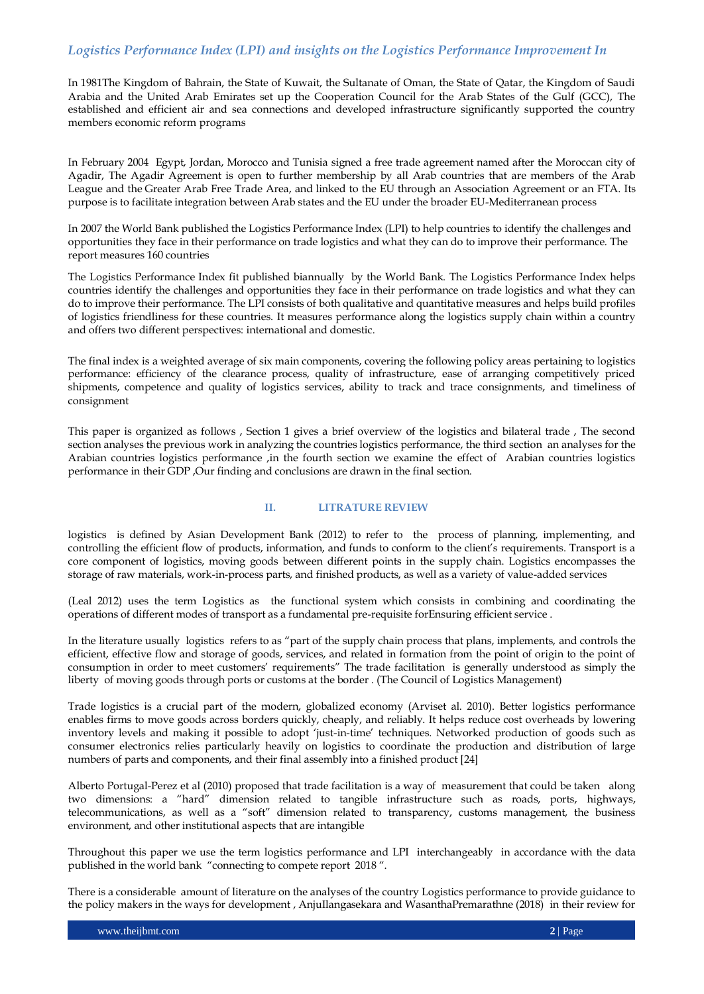In 1981The Kingdom of Bahrain, the State of Kuwait, the Sultanate of Oman, the State of Qatar, the Kingdom of Saudi Arabia and the United Arab Emirates set up the Cooperation Council for the Arab States of the Gulf (GCC), The established and efficient air and sea connections and developed infrastructure significantly supported the country members economic reform programs

In February 2004 Egypt, Jordan, Morocco and Tunisia signed a free trade agreement named after the Moroccan city of Agadir, The Agadir Agreement is open to further membership by all Arab countries that are members of the Arab League and the Greater Arab Free Trade Area, and linked to the EU through an Association Agreement or an FTA. Its purpose is to facilitate integration between Arab states and the EU under the broader EU-Mediterranean process

In 2007 the World Bank published the Logistics Performance Index (LPI) to help countries to identify the challenges and opportunities they face in their performance on trade logistics and what they can do to improve their performance. The report measures 160 countries

The Logistics Performance Index fit published biannually by the World Bank. The Logistics Performance Index helps countries identify the challenges and opportunities they face in their performance on trade logistics and what they can do to improve their performance. The LPI consists of both qualitative and quantitative measures and helps build profiles of logistics friendliness for these countries. It measures performance along the logistics supply chain within a country and offers two different perspectives: international and domestic.

The final index is a weighted average of six main components, covering the following policy areas pertaining to logistics performance: efficiency of the clearance process, quality of infrastructure, ease of arranging competitively priced shipments, competence and quality of logistics services, ability to track and trace consignments, and timeliness of consignment

This paper is organized as follows , Section 1 gives a brief overview of the logistics and bilateral trade , The second section analyses the previous work in analyzing the countries logistics performance, the third section an analyses for the Arabian countries logistics performance ,in the fourth section we examine the effect of Arabian countries logistics performance in their GDP ,Our finding and conclusions are drawn in the final section.

## **II. LITRATURE REVIEW**

logistics is defined by Asian Development Bank (2012) to refer to the process of planning, implementing, and controlling the efficient flow of products, information, and funds to conform to the client's requirements. Transport is a core component of logistics, moving goods between different points in the supply chain. Logistics encompasses the storage of raw materials, work-in-process parts, and finished products, as well as a variety of value-added services

(Leal 2012) uses the term Logistics as the functional system which consists in combining and coordinating the operations of different modes of transport as a fundamental pre-requisite forEnsuring efficient service .

In the literature usually logistics refers to as "part of the supply chain process that plans, implements, and controls the efficient, effective flow and storage of goods, services, and related in formation from the point of origin to the point of consumption in order to meet customers" requirements" The trade facilitation is generally understood as simply the liberty of moving goods through ports or customs at the border . (The Council of Logistics Management)

Trade logistics is a crucial part of the modern, globalized economy (Arviset al. 2010). Better logistics performance enables firms to move goods across borders quickly, cheaply, and reliably. It helps reduce cost overheads by lowering inventory levels and making it possible to adopt "just-in-time" techniques. Networked production of goods such as consumer electronics relies particularly heavily on logistics to coordinate the production and distribution of large numbers of parts and components, and their final assembly into a finished product [24]

Alberto Portugal-Perez et al (2010) proposed that trade facilitation is a way of measurement that could be taken along two dimensions: a "hard" dimension related to tangible infrastructure such as roads, ports, highways, telecommunications, as well as a "soft" dimension related to transparency, customs management, the business environment, and other institutional aspects that are intangible

Throughout this paper we use the term logistics performance and LPI interchangeably in accordance with the data published in the world bank "connecting to compete report 2018 ".

There is a considerable amount of literature on the analyses of the country Logistics performance to provide guidance to the policy makers in the ways for development , AnjuIlangasekara and WasanthaPremarathne (2018) in their review for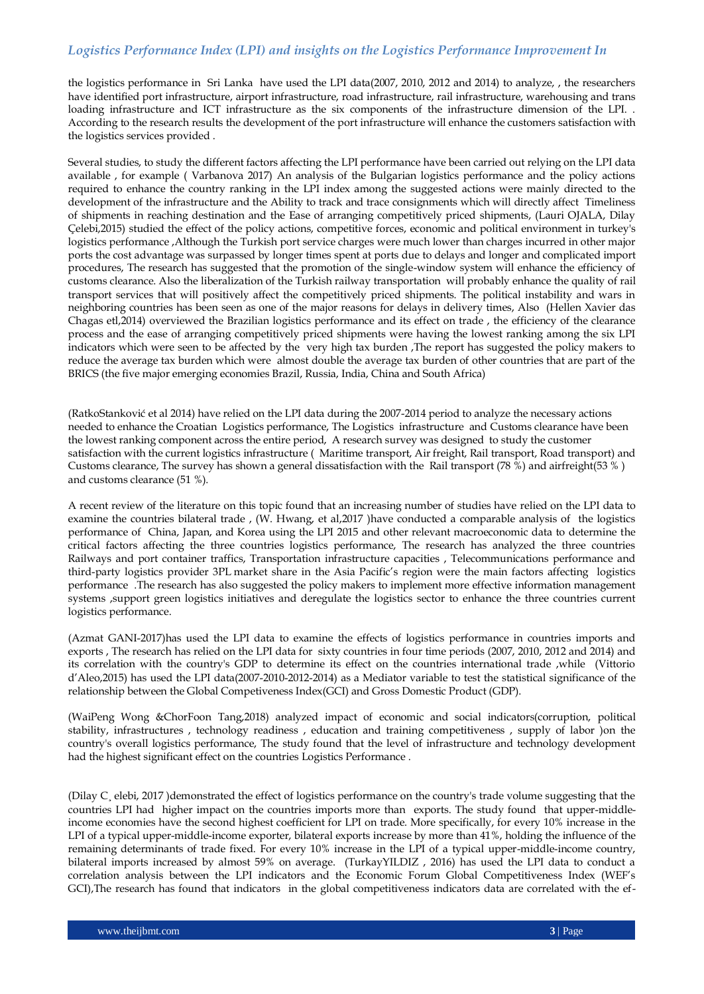the logistics performance in Sri Lanka have used the LPI data(2007, 2010, 2012 and 2014) to analyze, , the researchers have identified port infrastructure, airport infrastructure, road infrastructure, rail infrastructure, warehousing and trans loading infrastructure and ICT infrastructure as the six components of the infrastructure dimension of the LPI. . According to the research results the development of the port infrastructure will enhance the customers satisfaction with the logistics services provided .

Several studies, to study the different factors affecting the LPI performance have been carried out relying on the LPI data available , for example ( Varbanova 2017) An analysis of the Bulgarian logistics performance and the policy actions required to enhance the country ranking in the LPI index among the suggested actions were mainly directed to the development of the infrastructure and the Ability to track and trace consignments which will directly affect Timeliness of shipments in reaching destination and the Ease of arranging competitively priced shipments, (Lauri OJALA, Dilay Çelebi,2015) studied the effect of the policy actions, competitive forces, economic and political environment in turkey's logistics performance ,Although the Turkish port service charges were much lower than charges incurred in other major ports the cost advantage was surpassed by longer times spent at ports due to delays and longer and complicated import procedures, The research has suggested that the promotion of the single-window system will enhance the efficiency of customs clearance. Also the liberalization of the Turkish railway transportation will probably enhance the quality of rail transport services that will positively affect the competitively priced shipments. The political instability and wars in neighboring countries has been seen as one of the major reasons for delays in delivery times, Also (Hellen Xavier das Chagas etl,2014) overviewed the Brazilian logistics performance and its effect on trade , the efficiency of the clearance process and the ease of arranging competitively priced shipments were having the lowest ranking among the six LPI indicators which were seen to be affected by the very high tax burden ,The report has suggested the policy makers to reduce the average tax burden which were almost double the average tax burden of other countries that are part of the BRICS (the five major emerging economies Brazil, Russia, India, China and South Africa)

(RatkoStanković et al 2014) have relied on the LPI data during the 2007-2014 period to analyze the necessary actions needed to enhance the Croatian Logistics performance, The Logistics infrastructure and Customs clearance have been the lowest ranking component across the entire period, A research survey was designed to study the customer satisfaction with the current logistics infrastructure ( Maritime transport, Air freight, Rail transport, Road transport) and Customs clearance, The survey has shown a general dissatisfaction with the Rail transport (78 %) and airfreight(53 % ) and customs clearance (51 %).

A recent review of the literature on this topic found that an increasing number of studies have relied on the LPI data to examine the countries bilateral trade , (W. Hwang, et al,2017 )have conducted a comparable analysis of the logistics performance of China, Japan, and Korea using the LPI 2015 and other relevant macroeconomic data to determine the critical factors affecting the three countries logistics performance, The research has analyzed the three countries Railways and port container traffics, Transportation infrastructure capacities , Telecommunications performance and third-party logistics provider 3PL market share in the Asia Pacific"s region were the main factors affecting logistics performance .The research has also suggested the policy makers to implement more effective information management systems ,support green logistics initiatives and deregulate the logistics sector to enhance the three countries current logistics performance.

(Azmat GANI-2017)has used the LPI data to examine the effects of logistics performance in countries imports and exports , The research has relied on the LPI data for sixty countries in four time periods (2007, 2010, 2012 and 2014) and its correlation with the country's GDP to determine its effect on the countries international trade ,while (Vittorio d"Aleo,2015) has used the LPI data(2007-2010-2012-2014) as a Mediator variable to test the statistical significance of the relationship between the Global Competiveness Index(GCI) and Gross Domestic Product (GDP).

(WaiPeng Wong &ChorFoon Tang,2018) analyzed impact of economic and social indicators(corruption, political stability, infrastructures , technology readiness , education and training competitiveness , supply of labor )on the country's overall logistics performance, The study found that the level of infrastructure and technology development had the highest significant effect on the countries Logistics Performance .

(Dilay C¸ elebi, 2017 )demonstrated the effect of logistics performance on the country's trade volume suggesting that the countries LPI had higher impact on the countries imports more than exports. The study found that upper-middleincome economies have the second highest coefficient for LPI on trade. More specifically, for every 10% increase in the LPI of a typical upper-middle-income exporter, bilateral exports increase by more than 41%, holding the influence of the remaining determinants of trade fixed. For every 10% increase in the LPI of a typical upper-middle-income country, bilateral imports increased by almost 59% on average. (TurkayYILDIZ , 2016) has used the LPI data to conduct a correlation analysis between the LPI indicators and the Economic Forum Global Competitiveness Index (WEF"s GCI),The research has found that indicators in the global competitiveness indicators data are correlated with the ef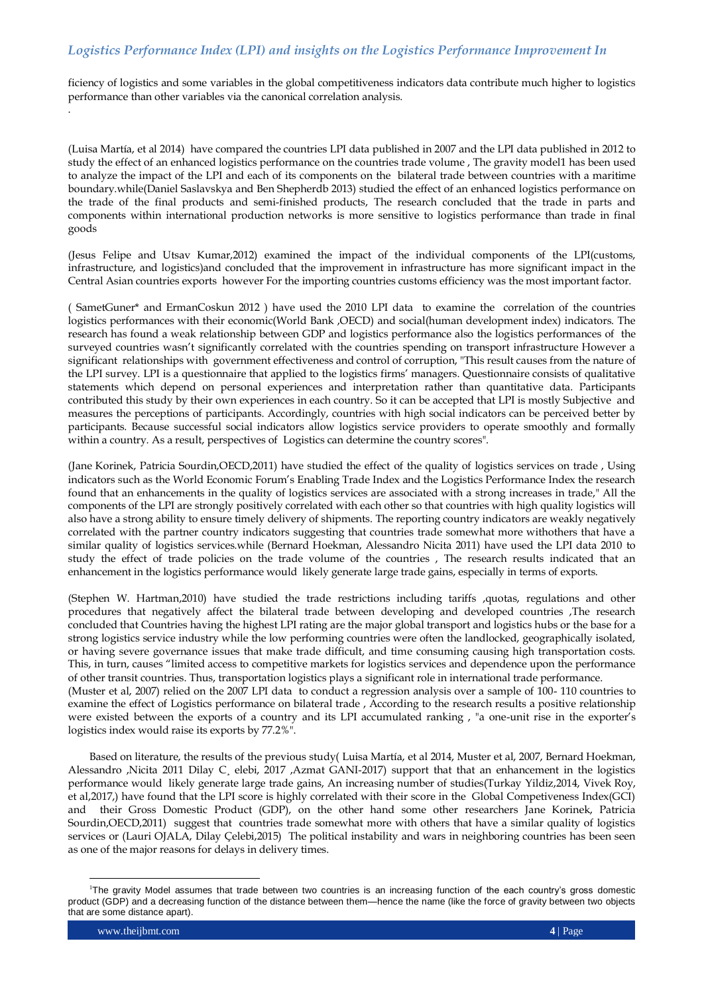ficiency of logistics and some variables in the global competitiveness indicators data contribute much higher to logistics performance than other variables via the canonical correlation analysis.

(Luisa Martía, et al 2014) have compared the countries LPI data published in 2007 and the LPI data published in 2012 to study the effect of an enhanced logistics performance on the countries trade volume , The gravity model1 has been used to analyze the impact of the LPI and each of its components on the bilateral trade between countries with a maritime boundary.while(Daniel Saslavskya and Ben Shepherdb 2013) studied the effect of an enhanced logistics performance on the trade of the final products and semi-finished products, The research concluded that the trade in parts and components within international production networks is more sensitive to logistics performance than trade in final goods

(Jesus Felipe and Utsav Kumar,2012) examined the impact of the individual components of the LPI(customs, infrastructure, and logistics)and concluded that the improvement in infrastructure has more significant impact in the Central Asian countries exports however For the importing countries customs efficiency was the most important factor.

( SametGuner\* and ErmanCoskun 2012 ) have used the 2010 LPI data to examine the correlation of the countries logistics performances with their economic(World Bank ,OECD) and social(human development index) indicators. The research has found a weak relationship between GDP and logistics performance also the logistics performances of the surveyed countries wasn"t significantly correlated with the countries spending on transport infrastructure However a significant relationships with government effectiveness and control of corruption, "This result causes from the nature of the LPI survey. LPI is a questionnaire that applied to the logistics firms" managers. Questionnaire consists of qualitative statements which depend on personal experiences and interpretation rather than quantitative data. Participants contributed this study by their own experiences in each country. So it can be accepted that LPI is mostly Subjective and measures the perceptions of participants. Accordingly, countries with high social indicators can be perceived better by participants. Because successful social indicators allow logistics service providers to operate smoothly and formally within a country. As a result, perspectives of Logistics can determine the country scores".

(Jane Korinek, Patricia Sourdin,OECD,2011) have studied the effect of the quality of logistics services on trade , Using indicators such as the World Economic Forum"s Enabling Trade Index and the Logistics Performance Index the research found that an enhancements in the quality of logistics services are associated with a strong increases in trade," All the components of the LPI are strongly positively correlated with each other so that countries with high quality logistics will also have a strong ability to ensure timely delivery of shipments. The reporting country indicators are weakly negatively correlated with the partner country indicators suggesting that countries trade somewhat more withothers that have a similar quality of logistics services.while (Bernard Hoekman, Alessandro Nicita 2011) have used the LPI data 2010 to study the effect of trade policies on the trade volume of the countries , The research results indicated that an enhancement in the logistics performance would likely generate large trade gains, especially in terms of exports.

(Stephen W. Hartman,2010) have studied the trade restrictions including tariffs ,quotas, regulations and other procedures that negatively affect the bilateral trade between developing and developed countries ,The research concluded that Countries having the highest LPI rating are the major global transport and logistics hubs or the base for a strong logistics service industry while the low performing countries were often the landlocked, geographically isolated, or having severe governance issues that make trade difficult, and time consuming causing high transportation costs. This, in turn, causes "limited access to competitive markets for logistics services and dependence upon the performance of other transit countries. Thus, transportation logistics plays a significant role in international trade performance. (Muster et al, 2007) relied on the 2007 LPI data to conduct a regression analysis over a sample of 100- 110 countries to

examine the effect of Logistics performance on bilateral trade , According to the research results a positive relationship were existed between the exports of a country and its LPI accumulated ranking, "a one-unit rise in the exporter's logistics index would raise its exports by 77.2%".

Based on literature, the results of the previous study( Luisa Martía, et al 2014, Muster et al, 2007, Bernard Hoekman, Alessandro ,Nicita 2011 Dilay C¸ elebi, 2017 ,Azmat GANI-2017) support that that an enhancement in the logistics performance would likely generate large trade gains, An increasing number of studies(Turkay Yildiz,2014, Vivek Roy, et al,2017,) have found that the LPI score is highly correlated with their score in the Global Competiveness Index(GCI) and their Gross Domestic Product (GDP), on the other hand some other researchers Jane Korinek, Patricia Sourdin,OECD,2011) suggest that countries trade somewhat more with others that have a similar quality of logistics services or (Lauri OJALA, Dilay Çelebi,2015) The political instability and wars in neighboring countries has been seen as one of the major reasons for delays in delivery times.

 $\overline{a}$ 

.

<sup>1</sup>The gravity Model assumes that trade between two countries is an increasing function of the each country's gross domestic product (GDP) and a decreasing function of the distance between them—hence the name (like the force of gravity between two objects that are some distance apart).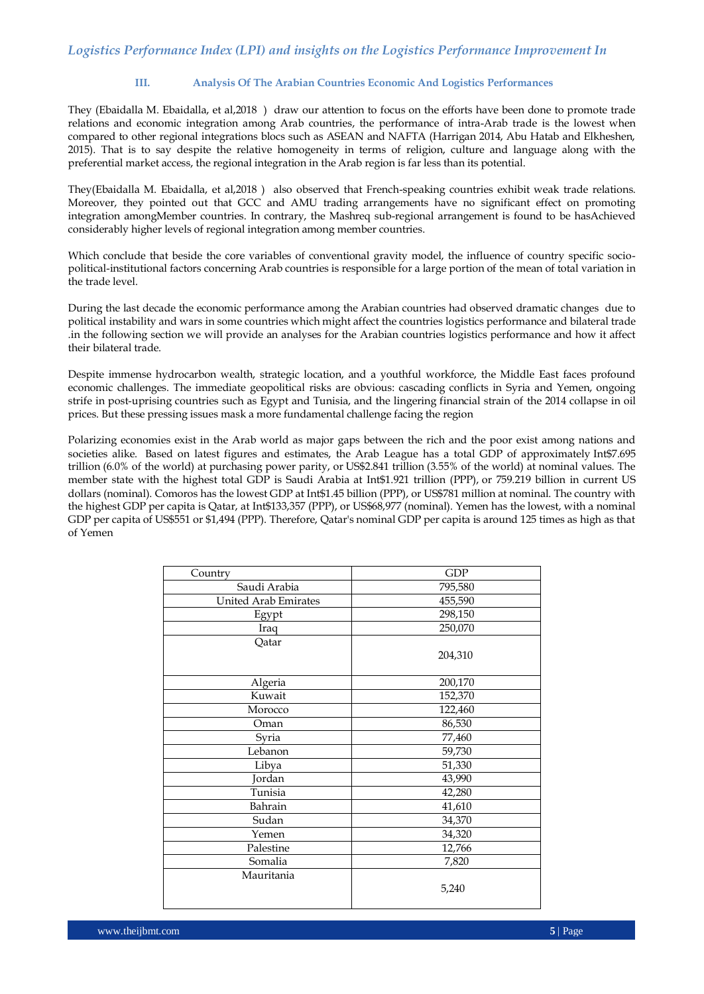### **III. Analysis Of The Arabian Countries Economic And Logistics Performances**

They (Ebaidalla M. Ebaidalla, et al,2018 ) draw our attention to focus on the efforts have been done to promote trade relations and economic integration among Arab countries, the performance of intra-Arab trade is the lowest when compared to other regional integrations blocs such as ASEAN and NAFTA (Harrigan 2014, Abu Hatab and Elkheshen, 2015). That is to say despite the relative homogeneity in terms of religion, culture and language along with the preferential market access, the regional integration in the Arab region is far less than its potential.

They(Ebaidalla M. Ebaidalla, et al,2018 ) also observed that French-speaking countries exhibit weak trade relations. Moreover, they pointed out that GCC and AMU trading arrangements have no significant effect on promoting integration amongMember countries. In contrary, the Mashreq sub-regional arrangement is found to be hasAchieved considerably higher levels of regional integration among member countries.

Which conclude that beside the core variables of conventional gravity model, the influence of country specific sociopolitical-institutional factors concerning Arab countries is responsible for a large portion of the mean of total variation in the trade level.

During the last decade the economic performance among the Arabian countries had observed dramatic changes due to political instability and wars in some countries which might affect the countries logistics performance and bilateral trade .in the following section we will provide an analyses for the Arabian countries logistics performance and how it affect their bilateral trade.

Despite immense hydrocarbon wealth, strategic location, and a youthful workforce, the Middle East faces profound economic challenges. The immediate geopolitical risks are obvious: cascading conflicts in Syria and Yemen, ongoing strife in post-uprising countries such as Egypt and Tunisia, and the lingering financial strain of the 2014 collapse in oil prices. But these pressing issues mask a more fundamental challenge facing the region

Polarizing economies exist in the Arab world as major gaps between the rich and the poor exist among nations and societies alike. Based on latest figures and estimates, the Arab League has a total GDP of approximately [Int\\$7](https://en.wikipedia.org/wiki/Geary%E2%80%93Khamis_dollar).695 trillion (6.0% of the world) at [purchasing power parity,](https://en.wikipedia.org/wiki/Purchasing_power_parity) or [US\\$2](https://en.wikipedia.org/wiki/United_States_dollar).841 trillion (3.55% of the world) at nominal values. The member state with the highest total GDP is Saudi Arabia at Int\$1.921 trillion (PPP), or 759.219 billion in current US dollars (nominal). Comoros has the lowest GDP at Int\$1.45 billion (PPP), or US\$781 million at nominal. The country with the highest GDP per capita is Qatar, at Int\$133,357 (PPP), or US\$68,977 (nominal). Yemen has the lowest, with a nominal GDP per capita of US\$551 or \$1,494 (PPP). Therefore, Qatar's nominal GDP per capita is around 125 times as high as that of Yemen

| Country              | <b>GDP</b> |
|----------------------|------------|
| Saudi Arabia         | 795,580    |
| United Arab Emirates | 455,590    |
| Egypt                | 298,150    |
| Iraq                 | 250,070    |
| Qatar                |            |
|                      | 204,310    |
|                      |            |
| Algeria              | 200,170    |
| Kuwait               | 152,370    |
| Morocco              | 122,460    |
| Oman                 | 86,530     |
| Syria                | 77,460     |
| Lebanon              | 59,730     |
| Libya                | 51,330     |
| Jordan               | 43,990     |
| Tunisia              | 42,280     |
| Bahrain              | 41,610     |
| Sudan                | 34,370     |
| Yemen                | 34,320     |
| Palestine            | 12,766     |
| Somalia              | 7,820      |
| Mauritania           |            |
|                      | 5,240      |
|                      |            |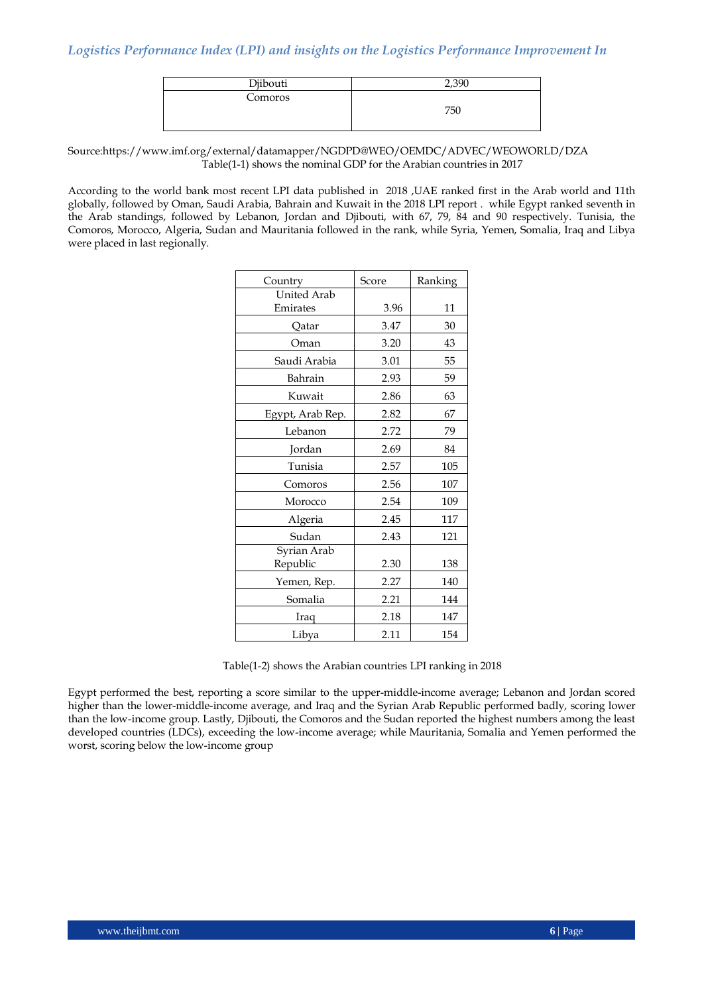| Djibouti | $\Omega$ |
|----------|----------|
| Comoros  | 750      |

Source[:https://www.imf.org/external/datamapper/NGDPD@WEO/OEMDC/ADVEC/WEOWORLD/DZA](https://www.imf.org/external/datamapper/NGDPD@WEO/OEMDC/ADVEC/WEOWORLD/DZA) Table(1-1) shows the nominal GDP for the Arabian countries in 2017

According to the world bank most recent LPI data published in 2018 ,UAE ranked first in the Arab world and 11th globally, followed by Oman, Saudi Arabia, Bahrain and Kuwait in the 2018 LPI report . while Egypt ranked seventh in the Arab standings, followed by Lebanon, Jordan and Djibouti, with 67, 79, 84 and 90 respectively. Tunisia, the Comoros, Morocco, Algeria, Sudan and Mauritania followed in the rank, while Syria, Yemen, Somalia, Iraq and Libya were placed in last regionally.

| Country                 | Score | Ranking |
|-------------------------|-------|---------|
| <b>United Arab</b>      |       |         |
| Emirates                | 3.96  | 11      |
| Qatar                   | 3.47  | 30      |
| Oman                    | 3.20  | 43      |
| Saudi Arabia            | 3.01  | 55      |
| Bahrain                 | 2.93  | 59      |
| Kuwait                  | 2.86  | 63      |
| Egypt, Arab Rep.        | 2.82  | 67      |
| Lebanon                 | 2.72  | 79      |
| Jordan                  | 2.69  | 84      |
| Tunisia                 | 2.57  | 105     |
| Comoros                 | 2.56  | 107     |
| Morocco                 | 2.54  | 109     |
| Algeria                 | 2.45  | 117     |
| Sudan                   | 2.43  | 121     |
| Syrian Arab<br>Republic | 2.30  | 138     |
| Yemen, Rep.             | 2.27  | 140     |
| Somalia                 | 2.21  | 144     |
| Iraq                    | 2.18  | 147     |
| Libya                   | 2.11  | 154     |

Table(1-2) shows the Arabian countries LPI ranking in 2018

Egypt performed the best, reporting a score similar to the upper-middle-income average; Lebanon and Jordan scored higher than the lower-middle-income average, and Iraq and the Syrian Arab Republic performed badly, scoring lower than the low-income group. Lastly, Djibouti, the Comoros and the Sudan reported the highest numbers among the least developed countries (LDCs), exceeding the low-income average; while Mauritania, Somalia and Yemen performed the worst, scoring below the low-income group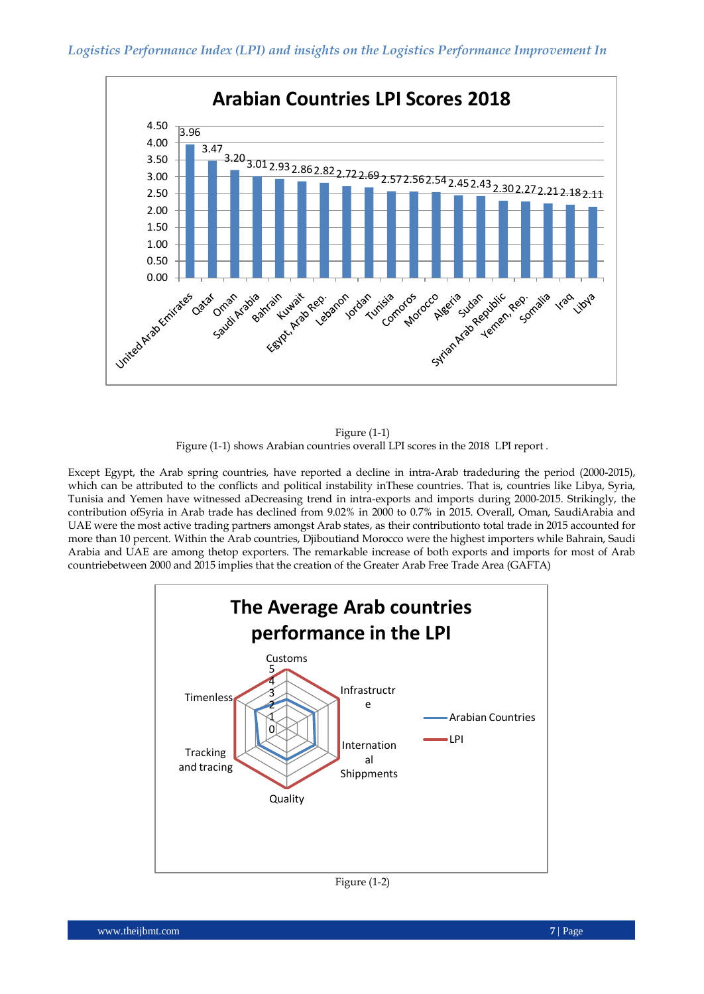

Figure (1-1) Figure (1-1) shows Arabian countries overall LPI scores in the 2018 LPI report .

Except Egypt, the Arab spring countries, have reported a decline in intra-Arab tradeduring the period (2000-2015), which can be attributed to the conflicts and political instability inThese countries. That is, countries like Libya, Syria, Tunisia and Yemen have witnessed aDecreasing trend in intra-exports and imports during 2000-2015. Strikingly, the contribution ofSyria in Arab trade has declined from 9.02% in 2000 to 0.7% in 2015. Overall, Oman, SaudiArabia and UAE were the most active trading partners amongst Arab states, as their contributionto total trade in 2015 accounted for more than 10 percent. Within the Arab countries, Djiboutiand Morocco were the highest importers while Bahrain, Saudi Arabia and UAE are among thetop exporters. The remarkable increase of both exports and imports for most of Arab countriebetween 2000 and 2015 implies that the creation of the Greater Arab Free Trade Area (GAFTA)



Figure (1-2)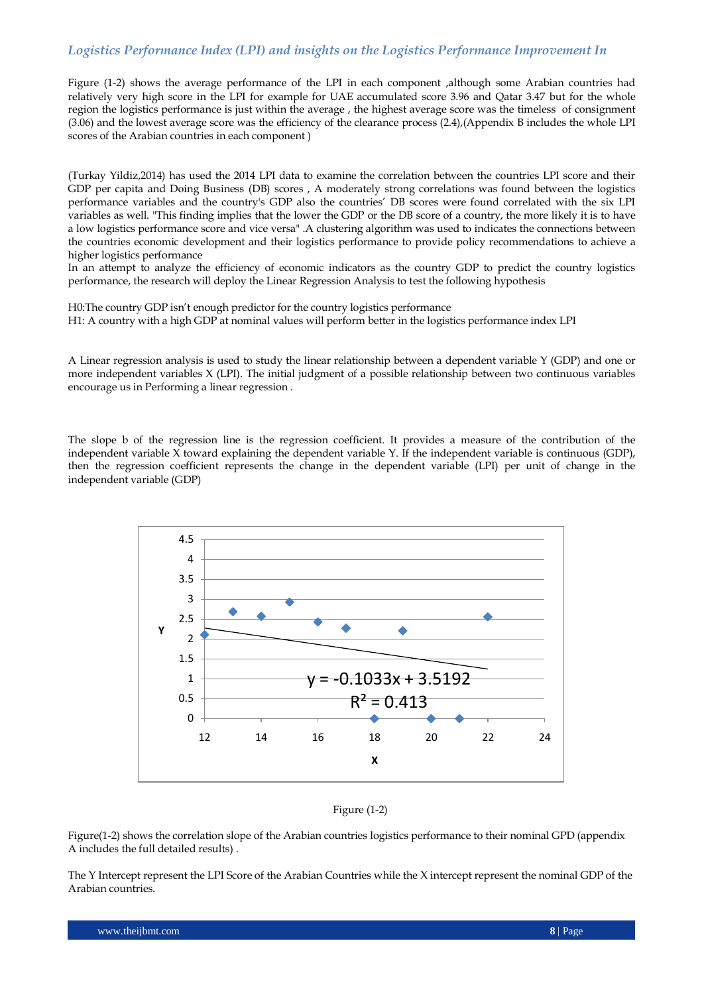Figure (1-2) shows the average performance of the LPI in each component ,although some Arabian countries had relatively very high score in the LPI for example for UAE accumulated score 3.96 and Qatar 3.47 but for the whole region the logistics performance is just within the average , the highest average score was the timeless of consignment (3.06) and the lowest average score was the efficiency of the clearance process (2.4),(Appendix B includes the whole LPI scores of the Arabian countries in each component )

(Turkay Yildiz,2014) has used the 2014 LPI data to examine the correlation between the countries LPI score and their GDP per capita and Doing Business (DB) scores , A moderately strong correlations was found between the logistics performance variables and the country's GDP also the countries" DB scores were found correlated with the six LPI variables as well. "This finding implies that the lower the GDP or the DB score of a country, the more likely it is to have a low logistics performance score and vice versa" .A clustering algorithm was used to indicates the connections between the countries economic development and their logistics performance to provide policy recommendations to achieve a higher logistics performance

In an attempt to analyze the efficiency of economic indicators as the country GDP to predict the country logistics performance, the research will deploy the Linear Regression Analysis to test the following hypothesis

H0:The country GDP isn"t enough predictor for the country logistics performance H1: A country with a high GDP at nominal values will perform better in the logistics performance index LPI

A Linear regression analysis is used to study the linear relationship between a dependent variable Y (GDP) and one or more independent variables X (LPI). The initial judgment of a possible relationship between two continuous variables encourage us in Performing a linear regression .

The slope b of the regression line is the regression coefficient. It provides a measure of the contribution of the independent variable X toward explaining the dependent variable Y. If the independent variable is continuous (GDP), then the regression coefficient represents the change in the dependent variable (LPI) per unit of change in the independent variable (GDP)





Figure(1-2) shows the correlation slope of the Arabian countries logistics performance to their nominal GPD (appendix A includes the full detailed results) .

The Y Intercept represent the LPI Score of the Arabian Countries while the X intercept represent the nominal GDP of the Arabian countries.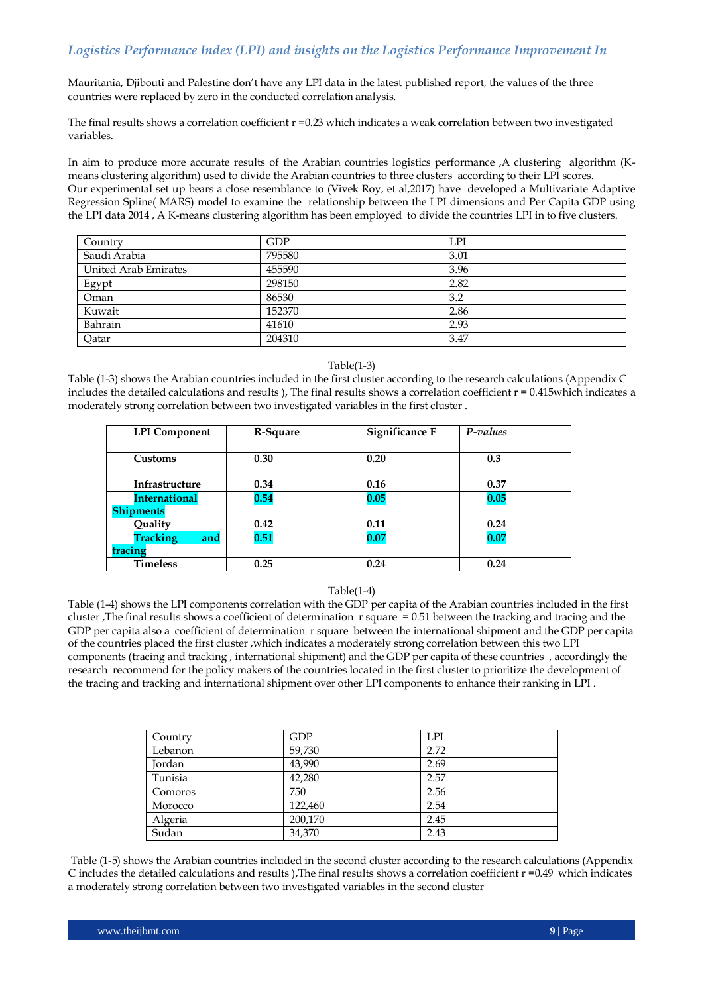Mauritania, Djibouti and Palestine don"t have any LPI data in the latest published report, the values of the three countries were replaced by zero in the conducted correlation analysis.

The final results shows a correlation coefficient r =0.23 which indicates a weak correlation between two investigated variables.

In aim to produce more accurate results of the Arabian countries logistics performance ,A clustering algorithm (Kmeans clustering algorithm) used to divide the Arabian countries to three clusters according to their LPI scores. Our experimental set up bears a close resemblance to (Vivek Roy, et al,2017) have developed a Multivariate Adaptive Regression Spline( MARS) model to examine the relationship between the LPI dimensions and Per Capita GDP using the LPI data 2014 , A K-means clustering algorithm has been employed to divide the countries LPI in to five clusters.

| Country              | GDP    | <b>LPI</b> |
|----------------------|--------|------------|
| Saudi Arabia         | 795580 | 3.01       |
| United Arab Emirates | 455590 | 3.96       |
| Egypt                | 298150 | 2.82       |
| Oman                 | 86530  | 3.2        |
| Kuwait               | 152370 | 2.86       |
| Bahrain              | 41610  | 2.93       |
| Qatar                | 204310 | 3.47       |

#### Table(1-3)

Table (1-3) shows the Arabian countries included in the first cluster according to the research calculations (Appendix C includes the detailed calculations and results ), The final results shows a correlation coefficient  $r = 0.415$ which indicates a moderately strong correlation between two investigated variables in the first cluster .

| <b>LPI</b> Component   | R-Square | <b>Significance F</b> | P-values |
|------------------------|----------|-----------------------|----------|
|                        |          |                       |          |
| Customs                | 0.30     | 0.20                  | 0.3      |
|                        |          |                       |          |
| Infrastructure         | 0.34     | 0.16                  | 0.37     |
| <b>International</b>   | 0.54     | 0.05                  | 0.05     |
| <b>Shipments</b>       |          |                       |          |
| Quality                | 0.42     | 0.11                  | 0.24     |
| <b>Tracking</b><br>and | 0.51     | 0.07                  | 0.07     |
| tracing                |          |                       |          |
| <b>Timeless</b>        | 0.25     | 0.24                  | 0.24     |

#### Table(1-4)

Table (1-4) shows the LPI components correlation with the GDP per capita of the Arabian countries included in the first cluster ,The final results shows a coefficient of determination r square = 0.51 between the tracking and tracing and the GDP per capita also a coefficient of determination r square between the international shipment and the GDP per capita of the countries placed the first cluster ,which indicates a moderately strong correlation between this two LPI components (tracing and tracking , international shipment) and the GDP per capita of these countries , accordingly the research recommend for the policy makers of the countries located in the first cluster to prioritize the development of the tracing and tracking and international shipment over other LPI components to enhance their ranking in LPI .

| Country | <b>GDP</b> | <b>LPI</b> |
|---------|------------|------------|
| Lebanon | 59,730     | 2.72       |
| Jordan  | 43,990     | 2.69       |
| Tunisia | 42,280     | 2.57       |
| Comoros | 750        | 2.56       |
| Morocco | 122,460    | 2.54       |
| Algeria | 200,170    | 2.45       |
| Sudan   | 34,370     | 2.43       |

Table (1-5) shows the Arabian countries included in the second cluster according to the research calculations (Appendix C includes the detailed calculations and results ), The final results shows a correlation coefficient  $r = 0.49$  which indicates a moderately strong correlation between two investigated variables in the second cluster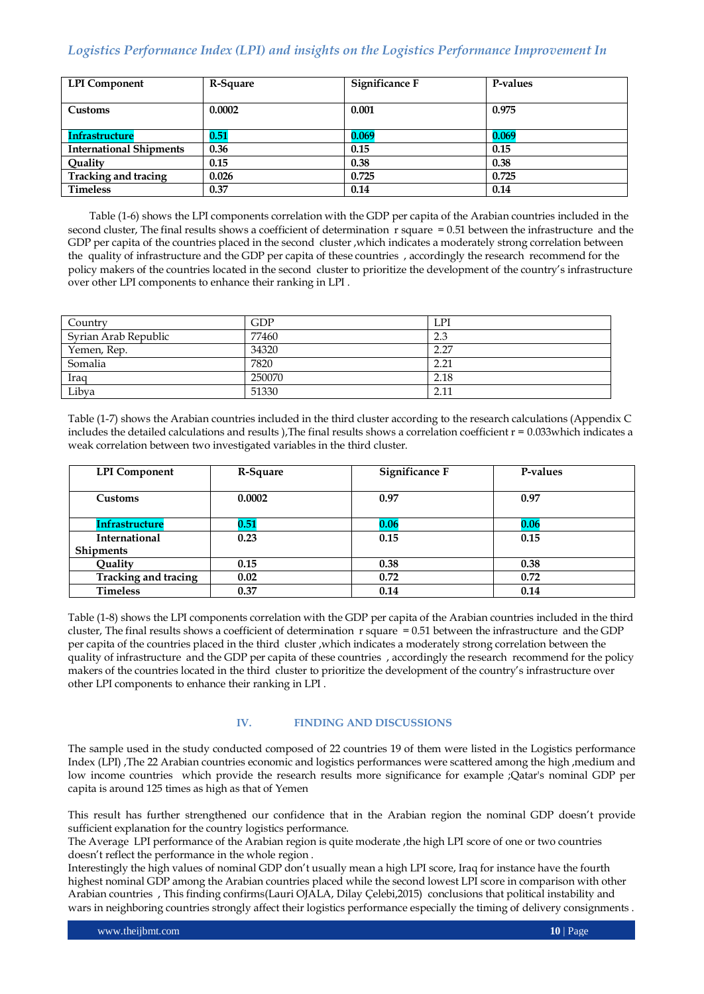| <b>LPI</b> Component           | R-Square | <b>Significance F</b> | P-values |
|--------------------------------|----------|-----------------------|----------|
| Customs                        | 0.0002   | 0.001                 | 0.975    |
| <b>Infrastructure</b>          | 0.51     | 0.069                 | 0.069    |
| <b>International Shipments</b> | 0.36     | 0.15                  | 0.15     |
| Quality                        | 0.15     | 0.38                  | 0.38     |
| <b>Tracking and tracing</b>    | 0.026    | 0.725                 | 0.725    |
| <b>Timeless</b>                | 0.37     | 0.14                  | 0.14     |

Table (1-6) shows the LPI components correlation with the GDP per capita of the Arabian countries included in the second cluster, The final results shows a coefficient of determination  $r$  square  $= 0.51$  between the infrastructure and the GDP per capita of the countries placed in the second cluster ,which indicates a moderately strong correlation between the quality of infrastructure and the GDP per capita of these countries , accordingly the research recommend for the policy makers of the countries located in the second cluster to prioritize the development of the country"s infrastructure over other LPI components to enhance their ranking in LPI .

| Country              | GDP    | LPI  |
|----------------------|--------|------|
| Syrian Arab Republic | 77460  | 2.3  |
| Yemen, Rep.          | 34320  | 2.27 |
| Somalia              | 7820   | 2.21 |
| Iraq                 | 250070 | 2.18 |
| Libya                | 51330  | 2.11 |

Table (1-7) shows the Arabian countries included in the third cluster according to the research calculations (Appendix C includes the detailed calculations and results ), The final results shows a correlation coefficient  $r = 0.033$  which indicates a weak correlation between two investigated variables in the third cluster.

| <b>LPI</b> Component  | R-Square | <b>Significance F</b> | P-values |
|-----------------------|----------|-----------------------|----------|
| Customs               | 0.0002   | 0.97                  | 0.97     |
| <b>Infrastructure</b> | 0.51     | 0.06                  | 0.06     |
| <b>International</b>  | 0.23     | 0.15                  | 0.15     |
| <b>Shipments</b>      |          |                       |          |
| Quality               | 0.15     | 0.38                  | 0.38     |
| Tracking and tracing  | 0.02     | 0.72                  | 0.72     |
| <b>Timeless</b>       | 0.37     | 0.14                  | 0.14     |

Table (1-8) shows the LPI components correlation with the GDP per capita of the Arabian countries included in the third cluster, The final results shows a coefficient of determination r square = 0.51 between the infrastructure and the GDP per capita of the countries placed in the third cluster ,which indicates a moderately strong correlation between the quality of infrastructure and the GDP per capita of these countries , accordingly the research recommend for the policy makers of the countries located in the third cluster to prioritize the development of the country"s infrastructure over other LPI components to enhance their ranking in LPI .

## **IV. FINDING AND DISCUSSIONS**

The sample used in the study conducted composed of 22 countries 19 of them were listed in the Logistics performance Index (LPI) ,The 22 Arabian countries economic and logistics performances were scattered among the high ,medium and low income countries which provide the research results more significance for example ;Qatar's nominal GDP per capita is around 125 times as high as that of Yemen

This result has further strengthened our confidence that in the Arabian region the nominal GDP doesn"t provide sufficient explanation for the country logistics performance.

The Average LPI performance of the Arabian region is quite moderate ,the high LPI score of one or two countries doesn"t reflect the performance in the whole region .

Interestingly the high values of nominal GDP don"t usually mean a high LPI score, Iraq for instance have the fourth highest nominal GDP among the Arabian countries placed while the second lowest LPI score in comparison with other Arabian countries , This finding confirms(Lauri OJALA, Dilay Çelebi,2015) conclusions that political instability and wars in neighboring countries strongly affect their logistics performance especially the timing of delivery consignments .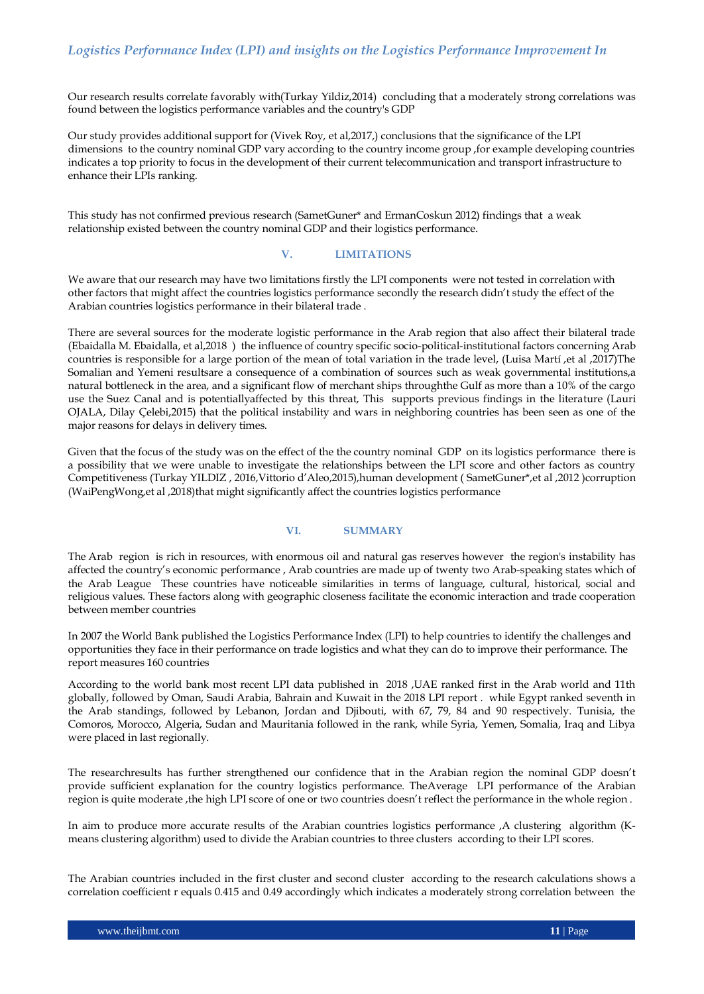Our research results correlate favorably with(Turkay Yildiz,2014) concluding that a moderately strong correlations was found between the logistics performance variables and the country's GDP

Our study provides additional support for (Vivek Roy, et al,2017,) conclusions that the significance of the LPI dimensions to the country nominal GDP vary according to the country income group ,for example developing countries indicates a top priority to focus in the development of their current telecommunication and transport infrastructure to enhance their LPIs ranking.

This study has not confirmed previous research (SametGuner\* and ErmanCoskun 2012) findings that a weak relationship existed between the country nominal GDP and their logistics performance.

## **V. LIMITATIONS**

We aware that our research may have two limitations firstly the LPI components were not tested in correlation with other factors that might affect the countries logistics performance secondly the research didn"t study the effect of the Arabian countries logistics performance in their bilateral trade .

There are several sources for the moderate logistic performance in the Arab region that also affect their bilateral trade (Ebaidalla M. Ebaidalla, et al,2018 ) the influence of country specific socio-political-institutional factors concerning Arab countries is responsible for a large portion of the mean of total variation in the trade level, (Luisa Martí ,et al ,2017)The Somalian and Yemeni resultsare a consequence of a combination of sources such as weak governmental institutions,a natural bottleneck in the area, and a significant flow of merchant ships throughthe Gulf as more than a 10% of the cargo use the Suez Canal and is potentiallyaffected by this threat, This supports previous findings in the literature (Lauri OJALA, Dilay Çelebi,2015) that the political instability and wars in neighboring countries has been seen as one of the major reasons for delays in delivery times.

Given that the focus of the study was on the effect of the the country nominal GDP on its logistics performance there is a possibility that we were unable to investigate the relationships between the LPI score and other factors as country Competitiveness (Turkay YILDIZ , 2016,Vittorio d"Aleo,2015),human development ( SametGuner\*,et al ,2012 )corruption (WaiPengWong, et al , 2018)that might significantly affect the countries logistics performance

#### **VI. SUMMARY**

The Arab region is rich in resources, with enormous oil and natural gas reserves however the region's instability has affected the country"s economic performance , Arab countries are made up of twenty two Arab-speaking states which of the Arab League These countries have noticeable similarities in terms of language, cultural, historical, social and religious values. These factors along with geographic closeness facilitate the economic interaction and trade cooperation between member countries

In 2007 the World Bank published the Logistics Performance Index (LPI) to help countries to identify the challenges and opportunities they face in their performance on trade logistics and what they can do to improve their performance. The report measures 160 countries

According to the world bank most recent LPI data published in 2018 ,UAE ranked first in the Arab world and 11th globally, followed by Oman, Saudi Arabia, Bahrain and Kuwait in the 2018 LPI report . while Egypt ranked seventh in the Arab standings, followed by Lebanon, Jordan and Djibouti, with 67, 79, 84 and 90 respectively. Tunisia, the Comoros, Morocco, Algeria, Sudan and Mauritania followed in the rank, while Syria, Yemen, Somalia, Iraq and Libya were placed in last regionally.

The researchresults has further strengthened our confidence that in the Arabian region the nominal GDP doesn"t provide sufficient explanation for the country logistics performance. TheAverage LPI performance of the Arabian region is quite moderate ,the high LPI score of one or two countries doesn"t reflect the performance in the whole region .

In aim to produce more accurate results of the Arabian countries logistics performance ,A clustering algorithm (Kmeans clustering algorithm) used to divide the Arabian countries to three clusters according to their LPI scores.

The Arabian countries included in the first cluster and second cluster according to the research calculations shows a correlation coefficient r equals 0.415 and 0.49 accordingly which indicates a moderately strong correlation between the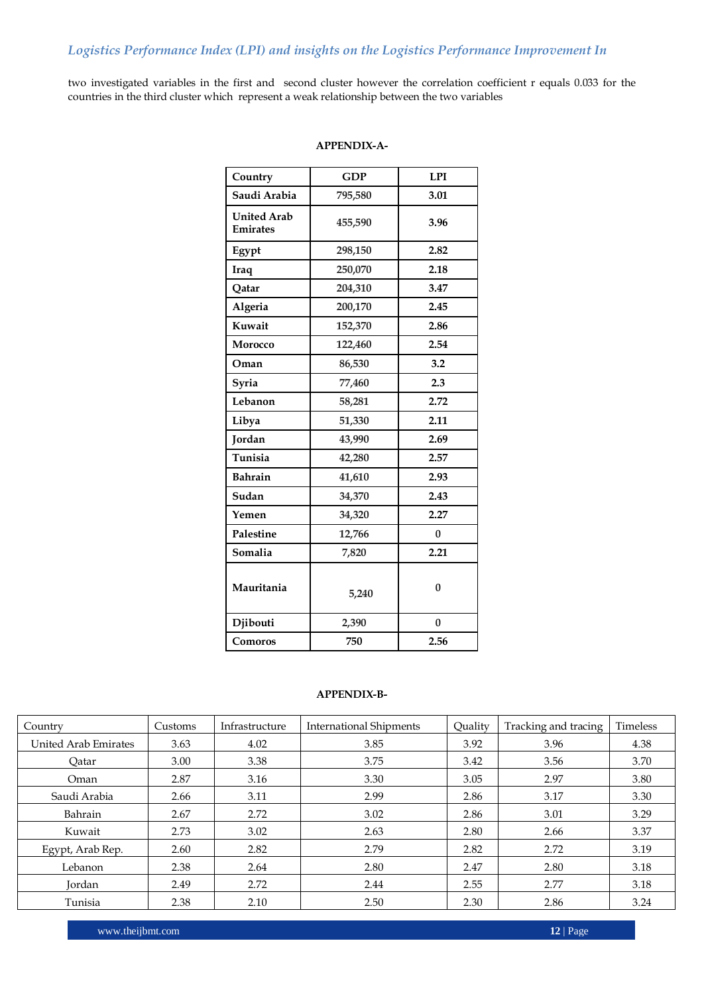two investigated variables in the first and second cluster however the correlation coefficient r equals 0.033 for the countries in the third cluster which represent a weak relationship between the two variables

## **APPENDIX-A-**

| Country                               | <b>GDP</b> | <b>LPI</b>   |
|---------------------------------------|------------|--------------|
| Saudi Arabia                          | 795,580    | 3.01         |
| <b>United Arab</b><br><b>Emirates</b> | 455,590    | 3.96         |
| Egypt                                 | 298,150    | 2.82         |
| Iraq                                  | 250,070    | 2.18         |
| Qatar                                 | 204,310    | 3.47         |
| Algeria                               | 200,170    | 2.45         |
| Kuwait                                | 152,370    | 2.86         |
| Morocco                               | 122,460    | 2.54         |
| Oman                                  | 86,530     | 3.2          |
| Syria                                 | 77,460     | 2.3          |
| Lebanon                               | 58,281     | 2.72         |
| Libya                                 | 51,330     | 2.11         |
| Jordan                                | 43,990     | 2.69         |
| Tunisia                               | 42,280     | 2.57         |
| <b>Bahrain</b>                        | 41,610     | 2.93         |
| Sudan                                 | 34,370     | 2.43         |
| Yemen                                 | 34,320     | 2.27         |
| Palestine                             | 12,766     | $\mathbf{0}$ |
| Somalia                               | 7,820      | 2.21         |
| Mauritania                            | 5,240      | $\mathbf{0}$ |
| Djibouti                              | 2,390      | $\mathbf{0}$ |
| Comoros                               | 750        | 2.56         |

## **APPENDIX-B-**

| Country              | Customs | Infrastructure | <b>International Shipments</b> | Ouality | Tracking and tracing | Timeless |
|----------------------|---------|----------------|--------------------------------|---------|----------------------|----------|
| United Arab Emirates | 3.63    | 4.02           | 3.85                           | 3.92    | 3.96                 | 4.38     |
| Oatar                | 3.00    | 3.38           | 3.75                           | 3.42    | 3.56                 | 3.70     |
| Oman                 | 2.87    | 3.16           | 3.30                           | 3.05    | 2.97                 | 3.80     |
| Saudi Arabia         | 2.66    | 3.11           | 2.99                           | 2.86    | 3.17                 | 3.30     |
| Bahrain              | 2.67    | 2.72           | 3.02                           | 2.86    | 3.01                 | 3.29     |
| Kuwait               | 2.73    | 3.02           | 2.63                           | 2.80    | 2.66                 | 3.37     |
| Egypt, Arab Rep.     | 2.60    | 2.82           | 2.79                           | 2.82    | 2.72                 | 3.19     |
| Lebanon              | 2.38    | 2.64           | 2.80                           | 2.47    | 2.80                 | 3.18     |
| Jordan               | 2.49    | 2.72           | 2.44                           | 2.55    | 2.77                 | 3.18     |
| Tunisia              | 2.38    | 2.10           | 2.50                           | 2.30    | 2.86                 | 3.24     |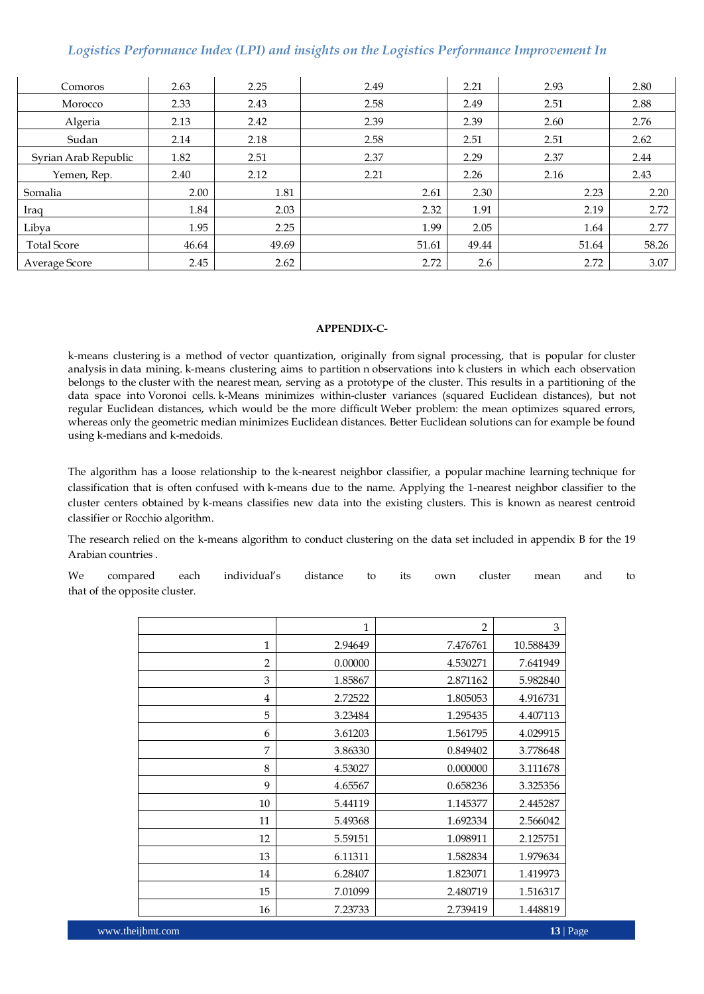| Comoros              | 2.63  | 2.25  | 2.49  | 2.21  | 2.93  | 2.80  |
|----------------------|-------|-------|-------|-------|-------|-------|
| Morocco              | 2.33  | 2.43  | 2.58  | 2.49  | 2.51  | 2.88  |
| Algeria              | 2.13  | 2.42  | 2.39  | 2.39  | 2.60  | 2.76  |
| Sudan                | 2.14  | 2.18  | 2.58  | 2.51  | 2.51  | 2.62  |
| Syrian Arab Republic | 1.82  | 2.51  | 2.37  | 2.29  | 2.37  | 2.44  |
| Yemen, Rep.          | 2.40  | 2.12  | 2.21  | 2.26  | 2.16  | 2.43  |
| Somalia              | 2.00  | 1.81  | 2.61  | 2.30  | 2.23  | 2.20  |
| Iraq                 | 1.84  | 2.03  | 2.32  | 1.91  | 2.19  | 2.72  |
| Libya                | 1.95  | 2.25  | 1.99  | 2.05  | 1.64  | 2.77  |
| <b>Total Score</b>   | 46.64 | 49.69 | 51.61 | 49.44 | 51.64 | 58.26 |
| Average Score        | 2.45  | 2.62  | 2.72  | 2.6   | 2.72  | 3.07  |

### **APPENDIX-C-**

k-means clustering is a method of [vector quantization,](https://en.wikipedia.org/wiki/Vector_quantization) originally from [signal processing,](https://en.wikipedia.org/wiki/Signal_processing) that is popular for [cluster](https://en.wikipedia.org/wiki/Cluster_analysis)  [analysis](https://en.wikipedia.org/wiki/Cluster_analysis) in [data mining.](https://en.wikipedia.org/wiki/Data_mining) k-means clustering aims to [partition](https://en.wikipedia.org/wiki/Partition_of_a_set) n observations into k clusters in which each observation belongs to the [cluster](https://en.wikipedia.org/wiki/Cluster_(statistics)) with the nearest [mean,](https://en.wikipedia.org/wiki/Mean) serving as a prototype of the cluster. This results in a partitioning of the data space into [Voronoi cells.](https://en.wikipedia.org/wiki/Voronoi_cell) k-Means minimizes within-cluster variances (squared Euclidean distances), but not regular Euclidean distances, which would be the more difficult [Weber problem:](https://en.wikipedia.org/wiki/Weber_problem) the mean optimizes squared errors, whereas only the geometric median minimizes Euclidean distances. Better Euclidean solutions can for example be found using [k-medians](https://en.wikipedia.org/wiki/K-medians_clustering) and [k-medoids.](https://en.wikipedia.org/wiki/K-medoids)

The algorithm has a loose relationship to the [k-nearest neighbor classifier,](https://en.wikipedia.org/wiki/K-nearest_neighbor) a popular [machine learning](https://en.wikipedia.org/wiki/Machine_learning) technique for classification that is often confused with k-means due to the name. Applying the 1-nearest neighbor classifier to the cluster centers obtained by k-means classifies new data into the existing clusters. This is known as nearest centroid classifier or [Rocchio algorithm.](https://en.wikipedia.org/wiki/Rocchio_algorithm)

The research relied on the k-means algorithm to conduct clustering on the data set included in appendix B for the 19 Arabian countries .

We compared each individual"s distance to its own cluster mean and to that of the opposite cluster.

|                | $\mathbf{1}$ | $\overline{2}$ | 3         |
|----------------|--------------|----------------|-----------|
| $\mathbf{1}$   | 2.94649      | 7.476761       | 10.588439 |
| $\overline{2}$ | 0.00000      | 4.530271       | 7.641949  |
| 3              | 1.85867      | 2.871162       | 5.982840  |
| $\overline{4}$ | 2.72522      | 1.805053       | 4.916731  |
| 5              | 3.23484      | 1.295435       | 4.407113  |
| 6              | 3.61203      | 1.561795       | 4.029915  |
| 7              | 3.86330      | 0.849402       | 3.778648  |
| 8              | 4.53027      | 0.000000       | 3.111678  |
| 9              | 4.65567      | 0.658236       | 3.325356  |
| 10             | 5.44119      | 1.145377       | 2.445287  |
| 11             | 5.49368      | 1.692334       | 2.566042  |
| 12             | 5.59151      | 1.098911       | 2.125751  |
| 13             | 6.11311      | 1.582834       | 1.979634  |
| 14             | 6.28407      | 1.823071       | 1.419973  |
| 15             | 7.01099      | 2.480719       | 1.516317  |
| 16             | 7.23733      | 2.739419       | 1.448819  |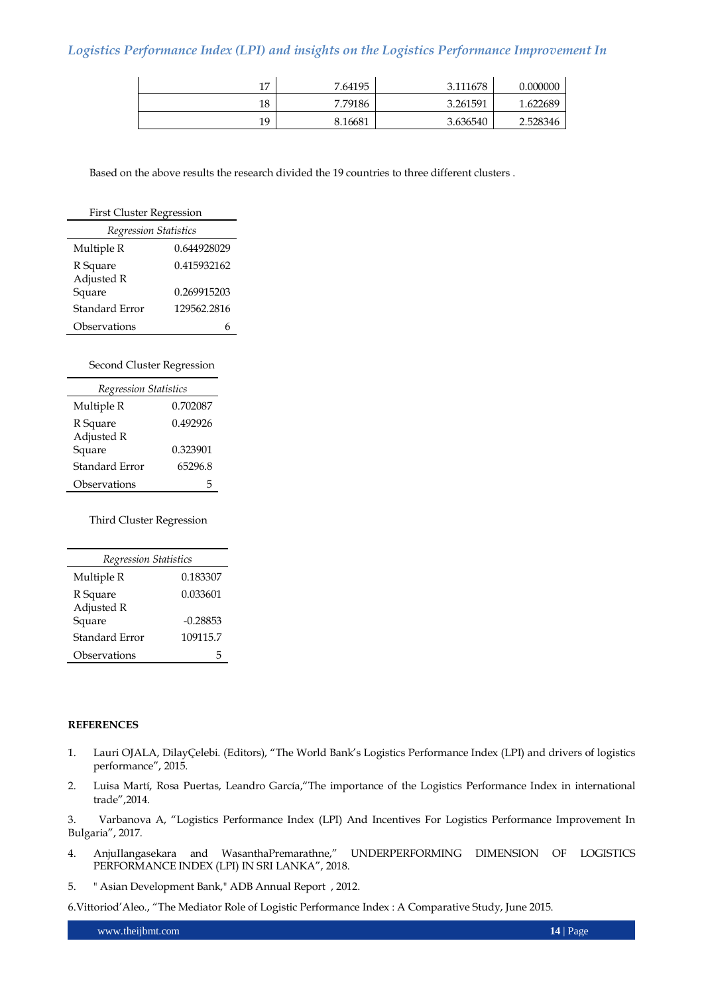| 17 | 7.64195 | 3.111678 | 0.000000 |
|----|---------|----------|----------|
| 18 | 7.79186 | 3.261591 | 1.622689 |
| 19 | 8.16681 | 3.636540 | 2.528346 |

Based on the above results the research divided the 19 countries to three different clusters .

| <b>First Cluster Regression</b> |             |  |  |
|---------------------------------|-------------|--|--|
| <b>Regression Statistics</b>    |             |  |  |
| Multiple R                      | 0.644928029 |  |  |
| R Square                        | 0.415932162 |  |  |
| Adjusted R                      |             |  |  |
| Square                          | 0.269915203 |  |  |
| Standard Error                  | 129562.2816 |  |  |
| Observations                    |             |  |  |

Second Cluster Regression

| Regression Statistics |          |  |  |
|-----------------------|----------|--|--|
| Multiple R            | 0.702087 |  |  |
| R Square              | 0.492926 |  |  |
| Adjusted R            |          |  |  |
| Square                | 0.323901 |  |  |
| Standard Error        | 65296.8  |  |  |
| Observations          |          |  |  |

Third Cluster Regression

| Regression Statistics |            |  |  |
|-----------------------|------------|--|--|
| Multiple R            | 0.183307   |  |  |
| R Square              | 0.033601   |  |  |
| Adjusted R            |            |  |  |
| Square                | $-0.28853$ |  |  |
| Standard Error        | 109115.7   |  |  |
| Observations          | h          |  |  |

#### **REFERENCES**

- 1. Lauri OJALA, DilayÇelebi. (Editors), "The World Bank"s Logistics Performance Index (LPI) and drivers of logistics performance", 2015.
- 2. Luisa Martí, Rosa Puertas, Leandro García,"The importance of the Logistics Performance Index in international trade",2014.

3. Varbanova A, "Logistics Performance Index (LPI) And Incentives For Logistics Performance Improvement In Bulgaria", 2017.

- 4. AnjuIlangasekara and WasanthaPremarathne," UNDERPERFORMING DIMENSION OF LOGISTICS PERFORMANCE INDEX (LPI) IN SRI LANKA", 2018.
- 5. " Asian Development Bank," ADB Annual Report , 2012.

6.Vittoriod"Aleo., "The Mediator Role of Logistic Performance Index : A Comparative Study, June 2015.